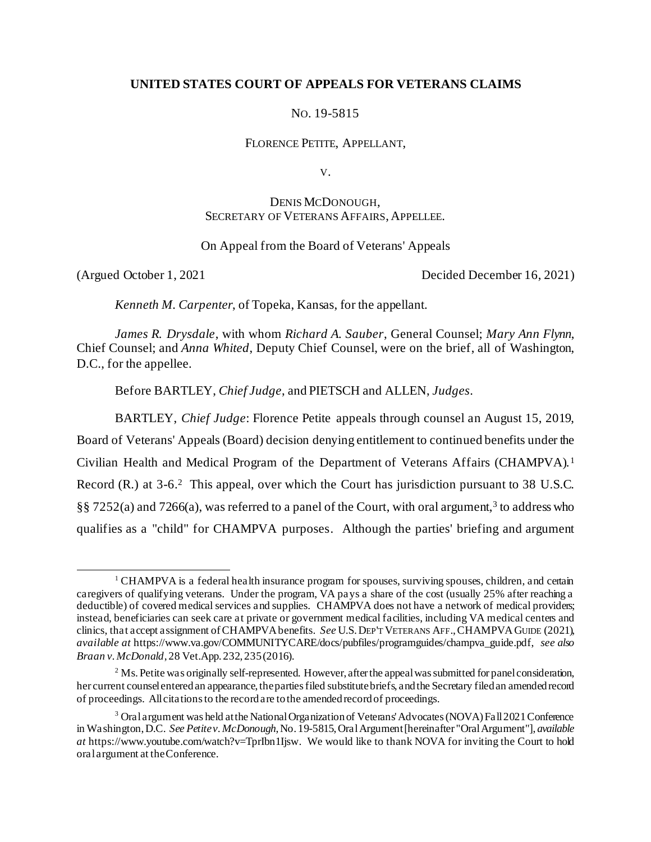## **UNITED STATES COURT OF APPEALS FOR VETERANS CLAIMS**

NO. 19-5815

FLORENCE PETITE, APPELLANT,

V.

# DENIS MCDONOUGH, SECRETARY OF VETERANS AFFAIRS, APPELLEE.

On Appeal from the Board of Veterans' Appeals

(Argued October 1, 2021 Decided December 16, 2021)

*Kenneth M. Carpenter*, of Topeka, Kansas, for the appellant.

*James R. Drysdale*, with whom *Richard A. Sauber*, General Counsel; *Mary Ann Flynn*, Chief Counsel; and *Anna Whited*, Deputy Chief Counsel, were on the brief, all of Washington, D.C., for the appellee.

Before BARTLEY, *Chief Judge*, and PIETSCH and ALLEN, *Judges*.

BARTLEY, *Chief Judge*: Florence Petite appeals through counsel an August 15, 2019, Board of Veterans' Appeals (Board) decision denying entitlement to continued benefits under the Civilian Health and Medical Program of the Department of Veterans Affairs (CHAMPVA). 1 Record (R.) at 3-6.<sup>2</sup> This appeal, over which the Court has jurisdiction pursuant to 38 U.S.C.  $\S$ § 7252(a) and 7266(a), was referred to a panel of the Court, with oral argument,<sup>3</sup> to address who qualifies as a "child" for CHAMPVA purposes. Although the parties' briefing and argument

<sup>&</sup>lt;sup>1</sup> CHAMPVA is a federal health insurance program for spouses, surviving spouses, children, and certain caregivers of qualifying veterans. Under the program, VA pays a share of the cost (usually 25% after reaching a deductible) of covered medical services and supplies. CHAMPVA does not have a network of medical providers; instead, beneficiaries can seek care at private or government medical facilities, including VA medical centers and clinics, that accept assignment of CHAMPVA benefits. *See* U.S.DEP'T VETERANS AFF.,CHAMPVAGUIDE (2021), *available at* https://www.va.gov/COMMUNITYCARE/docs/pubfiles/programguides/champva\_guide.pdf, *see also Braan v. McDonald*, 28 Vet.App. 232, 235 (2016).

 $2^2$  Ms. Petite was originally self-represented. However, after the appeal was submitted for panel consideration, her current counsel entered an appearance, the parties filed substitute briefs, and the Secretary filed an amended record of proceedings. All citations to the record are to the amended record of proceedings.

<sup>&</sup>lt;sup>3</sup> Oral argument was held at the National Organization of Veterans' Advocates (NOVA) Fall 2021 Conference in Washington, D.C. *See Petite v. McDonough*, No. 19-5815, Oral Argument [hereinafter "Oral Argument"], *available at* https://www.youtube.com/watch?v=TprIbn1Ijsw. We would like to thank NOVA for inviting the Court to hold oral argument at the Conference.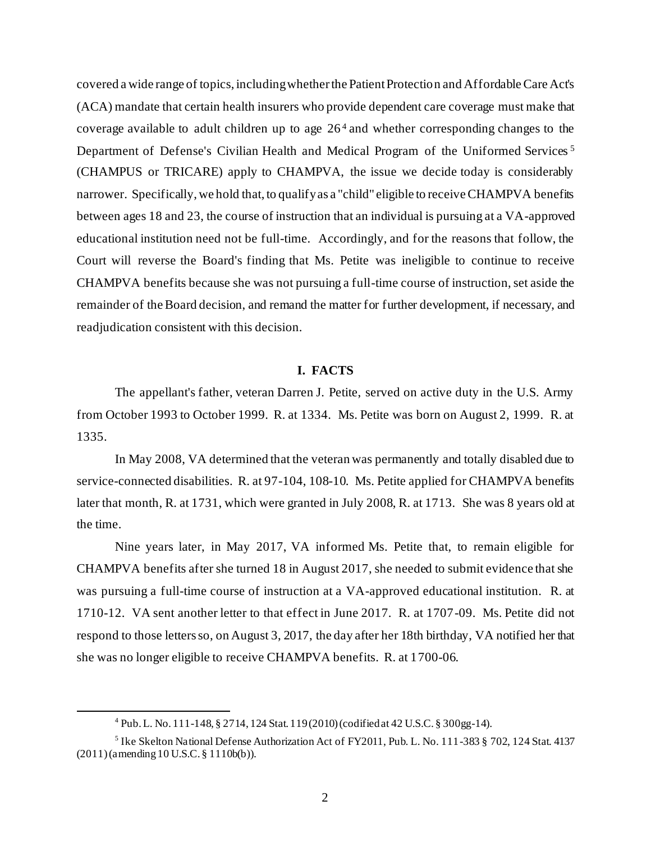covered a wide range of topics, including whether the Patient Protection and Affordable Care Act's (ACA) mandate that certain health insurers who provide dependent care coverage must make that coverage available to adult children up to age 26 <sup>4</sup> and whether corresponding changes to the Department of Defense's Civilian Health and Medical Program of the Uniformed Services <sup>5</sup> (CHAMPUS or TRICARE) apply to CHAMPVA, the issue we decide today is considerably narrower. Specifically, we hold that, to qualify as a "child" eligible to receive CHAMPVA benefits between ages 18 and 23, the course of instruction that an individual is pursuing at a VA-approved educational institution need not be full-time. Accordingly, and for the reasons that follow, the Court will reverse the Board's finding that Ms. Petite was ineligible to continue to receive CHAMPVA benefits because she was not pursuing a full-time course of instruction, set aside the remainder of the Board decision, and remand the matter for further development, if necessary, and readjudication consistent with this decision.

## **I. FACTS**

The appellant's father, veteran Darren J. Petite, served on active duty in the U.S. Army from October 1993 to October 1999. R. at 1334. Ms. Petite was born on August 2, 1999. R. at 1335.

In May 2008, VA determined that the veteran was permanently and totally disabled due to service-connected disabilities. R. at 97-104, 108-10. Ms. Petite applied for CHAMPVA benefits later that month, R. at 1731, which were granted in July 2008, R. at 1713. She was 8 years old at the time.

Nine years later, in May 2017, VA informed Ms. Petite that, to remain eligible for CHAMPVA benefits after she turned 18 in August 2017, she needed to submit evidence that she was pursuing a full-time course of instruction at a VA-approved educational institution. R. at 1710-12. VA sent another letter to that effect in June 2017. R. at 1707-09. Ms. Petite did not respond to those letters so, on August 3, 2017, the day after her 18th birthday, VA notified her that she was no longer eligible to receive CHAMPVA benefits. R. at 1700-06.

<sup>4</sup> Pub. L. No. 111-148, § 2714, 124 Stat. 119 (2010) (codified at 42 U.S.C. § 300gg-14).

<sup>&</sup>lt;sup>5</sup> Ike Skelton National Defense Authorization Act of FY2011, Pub. L. No. 111-383 § 702, 124 Stat. 4137 (2011) (amending 10 U.S.C. § 1110b(b)).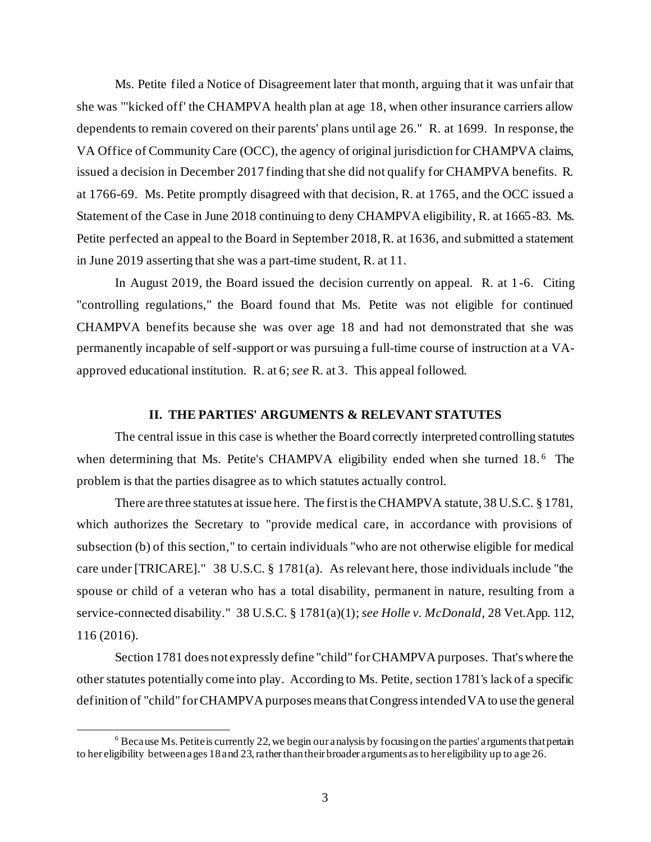Ms. Petite filed a Notice of Disagreement later that month, arguing that it was unfair that she was "'kicked off' the CHAMPVA health plan at age 18, when other insurance carriers allow dependents to remain covered on their parents' plans until age 26." R. at 1699. In response, the VA Office of Community Care (OCC), the agency of original jurisdiction for CHAMPVA claims, issued a decision in December 2017 finding that she did not qualify for CHAMPVA benefits. R. at 1766-69. Ms. Petite promptly disagreed with that decision, R. at 1765, and the OCC issued a Statement of the Case in June 2018 continuing to deny CHAMPVA eligibility, R. at 1665-83. Ms. Petite perfected an appeal to the Board in September 2018, R. at 1636, and submitted a statement in June 2019 asserting that she was a part-time student, R. at 11.

In August 2019, the Board issued the decision currently on appeal. R. at 1 -6. Citing "controlling regulations," the Board found that Ms. Petite was not eligible for continued CHAMPVA benefits because she was over age 18 and had not demonstrated that she was permanently incapable of self-support or was pursuing a full-time course of instruction at a VAapproved educational institution. R. at 6; *see* R. at 3. This appeal followed.

#### **II. THE PARTIES' ARGUMENTS & RELEVANT STATUTES**

The central issue in this case is whether the Board correctly interpreted controlling statutes when determining that Ms. Petite's CHAMPVA eligibility ended when she turned 18.<sup>6</sup> The problem is that the parties disagree as to which statutes actually control.

There are three statutes at issue here. The first is the CHAMPVA statute, 38 U.S.C. § 1781, which authorizes the Secretary to "provide medical care, in accordance with provisions of subsection (b) of this section," to certain individuals "who are not otherwise eligible for medical care under [TRICARE]." 38 U.S.C. § 1781(a). As relevant here, those individuals include "the spouse or child of a veteran who has a total disability, permanent in nature, resulting from a service-connected disability." 38 U.S.C. § 1781(a)(1); *see Holle v. McDonald*, 28 Vet.App. 112, 116 (2016).

Section 1781 does not expressly define "child" for CHAMPVA purposes. That's where the other statutes potentially come into play. According to Ms. Petite, section 1781's lack of a specific definition of "child" for CHAMPVA purposes means that Congress intended VA to use the general

 $6$  Because Ms. Petite is currently 22, we begin our analysis by focusing on the parties' arguments that pertain to her eligibility between ages 18 and 23, rather than their broader arguments as to her eligibility up to age 26.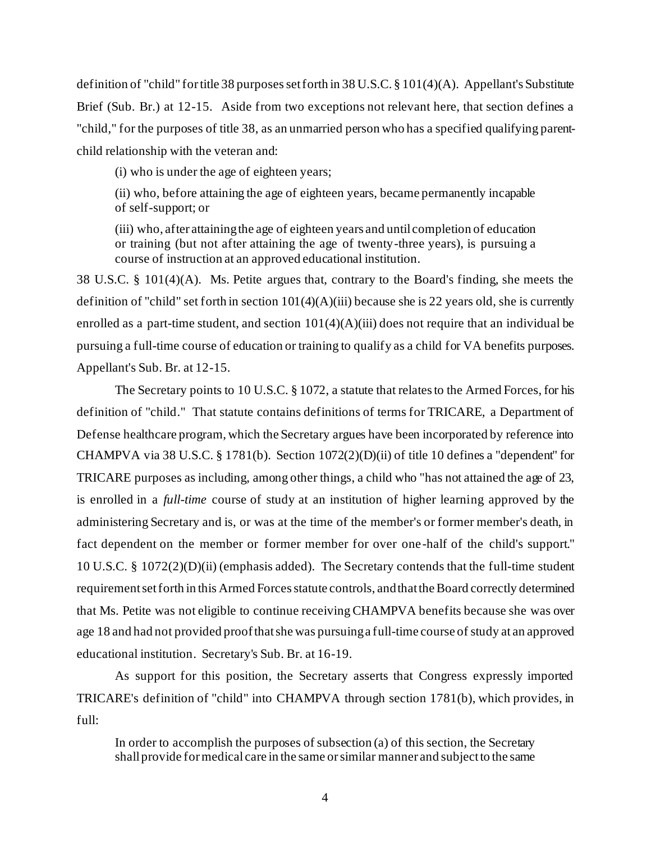definition of "child" for title 38 purposes set forth in 38 U.S.C. § 101(4)(A). Appellant's Substitute Brief (Sub. Br.) at 12-15. Aside from two exceptions not relevant here, that section defines a "child," for the purposes of title 38, as an unmarried person who has a specified qualifying parentchild relationship with the veteran and:

(i) who is under the age of eighteen years;

(ii) who, before attaining the age of eighteen years, became permanently incapable of self-support; or

(iii) who, after attaining the age of eighteen years and until completion of education or training (but not after attaining the age of twenty-three years), is pursuing a course of instruction at an approved educational institution.

38 U.S.C. § 101(4)(A). Ms. Petite argues that, contrary to the Board's finding, she meets the definition of "child" set forth in section  $101(4)(A)(iii)$  because she is 22 years old, she is currently enrolled as a part-time student, and section  $101(4)(A)(iii)$  does not require that an individual be pursuing a full-time course of education or training to qualify as a child for VA benefits purposes. Appellant's Sub. Br. at 12-15.

The Secretary points to 10 U.S.C. § 1072, a statute that relates to the Armed Forces, for his definition of "child." That statute contains definitions of terms for TRICARE, a Department of Defense healthcare program, which the Secretary argues have been incorporated by reference into CHAMPVA via 38 U.S.C. § 1781(b). Section 1072(2)(D)(ii) of title 10 defines a "dependent" for TRICARE purposes as including, among other things, a child who "has not attained the age of 23, is enrolled in a *full-time* course of study at an institution of higher learning approved by the administering Secretary and is, or was at the time of the member's or former member's death, in fact dependent on the member or former member for over one-half of the child's support." 10 U.S.C. § 1072(2)(D)(ii) (emphasis added). The Secretary contends that the full-time student requirement set forth in this Armed Forces statute controls, and that the Board correctly determined that Ms. Petite was not eligible to continue receiving CHAMPVA benefits because she was over age 18 and had not provided proof that she was pursuing a full-time course of study at an approved educational institution. Secretary's Sub. Br. at 16-19.

As support for this position, the Secretary asserts that Congress expressly imported TRICARE's definition of "child" into CHAMPVA through section 1781(b), which provides, in full:

In order to accomplish the purposes of subsection (a) of this section, the Secretary shall provide for medical care in the same or similar manner and subject to the same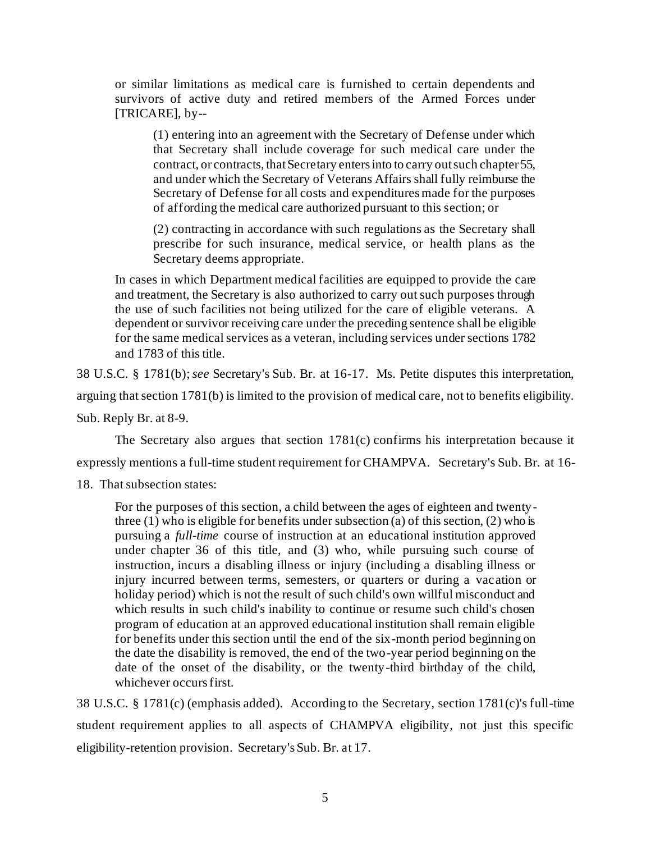or similar limitations as medical care is furnished to certain dependents and survivors of active duty and retired members of the Armed Forces under [TRICARE], by--

(1) entering into an agreement with the Secretary of Defense under which that Secretary shall include coverage for such medical care under the contract, or contracts, that Secretary enters into to carry out such chapter 55, and under which the Secretary of Veterans Affairs shall fully reimburse the Secretary of Defense for all costs and expenditures made for the purposes of affording the medical care authorized pursuant to this section; or

(2) contracting in accordance with such regulations as the Secretary shall prescribe for such insurance, medical service, or health plans as the Secretary deems appropriate.

In cases in which Department medical facilities are equipped to provide the care and treatment, the Secretary is also authorized to carry out such purposes through the use of such facilities not being utilized for the care of eligible veterans. A dependent or survivor receiving care under the preceding sentence shall be eligible for the same medical services as a veteran, including services under sections 1782 and 1783 of this title.

38 U.S.C. § 1781(b); *see* Secretary's Sub. Br. at 16-17. Ms. Petite disputes this interpretation,

arguing that section 1781(b) is limited to the provision of medical care, not to benefits eligibility.

Sub. Reply Br. at 8-9.

The Secretary also argues that section  $1781(c)$  confirms his interpretation because it

expressly mentions a full-time student requirement for CHAMPVA. Secretary's Sub. Br. at 16-

18. That subsection states:

For the purposes of this section, a child between the ages of eighteen and twentythree  $(1)$  who is eligible for benefits under subsection  $(a)$  of this section,  $(2)$  who is pursuing a *full-time* course of instruction at an educational institution approved under chapter 36 of this title, and (3) who, while pursuing such course of instruction, incurs a disabling illness or injury (including a disabling illness or injury incurred between terms, semesters, or quarters or during a vacation or holiday period) which is not the result of such child's own willful misconduct and which results in such child's inability to continue or resume such child's chosen program of education at an approved educational institution shall remain eligible for benefits under this section until the end of the six-month period beginning on the date the disability is removed, the end of the two-year period beginning on the date of the onset of the disability, or the twenty-third birthday of the child, whichever occurs first.

38 U.S.C. § 1781(c) (emphasis added). According to the Secretary, section 1781(c)'s full-time student requirement applies to all aspects of CHAMPVA eligibility, not just this specific eligibility-retention provision. Secretary's Sub. Br. at 17.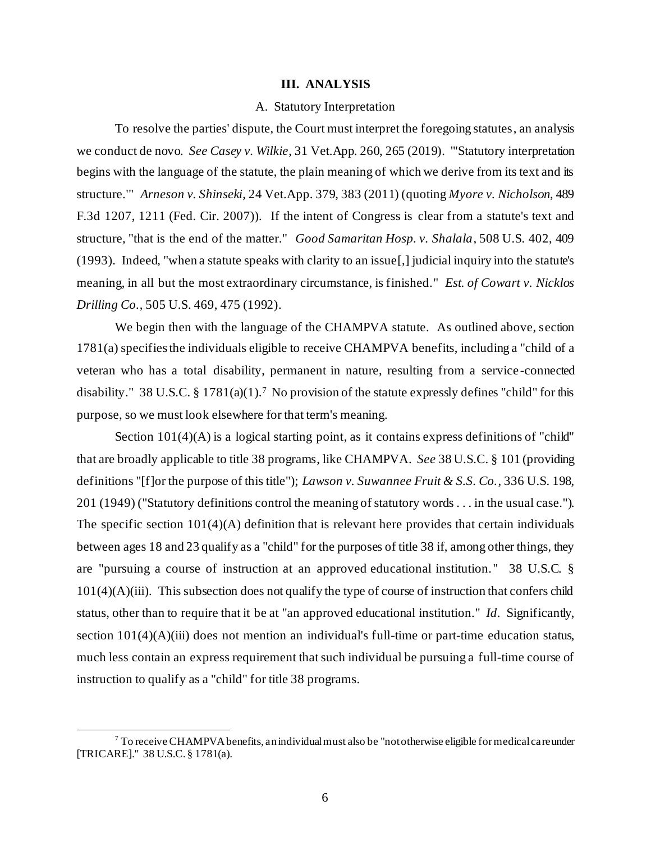#### **III. ANALYSIS**

#### A. Statutory Interpretation

To resolve the parties' dispute, the Court must interpret the foregoing statutes, an analysis we conduct de novo. *See Casey v. Wilkie*, 31 Vet.App. 260, 265 (2019). "'Statutory interpretation begins with the language of the statute, the plain meaning of which we derive from its text and its structure.'" *Arneson v. Shinseki*, 24 Vet.App. 379, 383 (2011) (quoting *Myore v. Nicholson*, 489 F.3d 1207, 1211 (Fed. Cir. 2007)). If the intent of Congress is clear from a statute's text and structure, "that is the end of the matter." *Good Samaritan Hosp. v. Shalala*, 508 U.S. 402, 409 (1993). Indeed, "when a statute speaks with clarity to an issue[,] judicial inquiry into the statute's meaning, in all but the most extraordinary circumstance, is finished." *Est. of Cowart v. Nicklos Drilling Co.*, 505 U.S. 469, 475 (1992).

We begin then with the language of the CHAMPVA statute. As outlined above, section 1781(a) specifies the individuals eligible to receive CHAMPVA benefits, including a "child of a veteran who has a total disability, permanent in nature, resulting from a service -connected disability." 38 U.S.C. § 1781(a)(1).<sup>7</sup> No provision of the statute expressly defines "child" for this purpose, so we must look elsewhere for that term's meaning.

Section  $101(4)(A)$  is a logical starting point, as it contains express definitions of "child" that are broadly applicable to title 38 programs, like CHAMPVA. *See* 38 U.S.C. § 101 (providing definitions "[f]or the purpose of this title"); *Lawson v. Suwannee Fruit & S.S. Co.*, 336 U.S. 198, 201 (1949) ("Statutory definitions control the meaning of statutory words . . . in the usual case."). The specific section  $101(4)(A)$  definition that is relevant here provides that certain individuals between ages 18 and 23 qualify as a "child" for the purposes of title 38 if, among other things, they are "pursuing a course of instruction at an approved educational institution. " 38 U.S.C. §  $101(4)(A)(iii)$ . This subsection does not qualify the type of course of instruction that confers child status, other than to require that it be at "an approved educational institution." *Id*. Significantly, section 101(4)(A)(iii) does not mention an individual's full-time or part-time education status, much less contain an express requirement that such individual be pursuing a full-time course of instruction to qualify as a "child" for title 38 programs.

 $7$  To receive CHAMPVA benefits, an individual must also be "not otherwise eligible for medical care under [TRICARE]." 38 U.S.C. § 1781(a).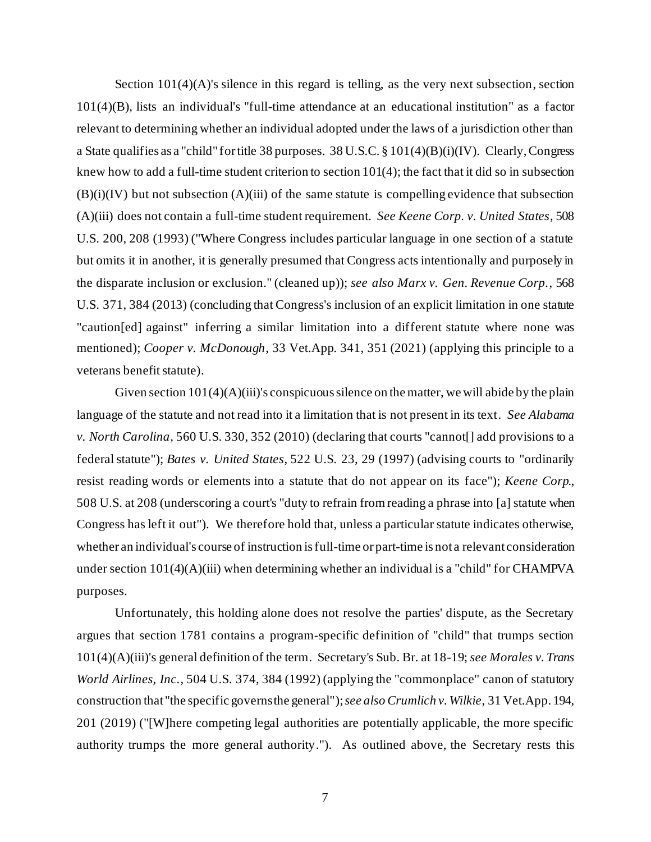Section  $101(4)(A)$ 's silence in this regard is telling, as the very next subsection, section 101(4)(B), lists an individual's "full-time attendance at an educational institution" as a factor relevant to determining whether an individual adopted under the laws of a jurisdiction other than a State qualifies as a "child" for title 38 purposes. 38 U.S.C. § 101(4)(B)(i)(IV). Clearly, Congress knew how to add a full-time student criterion to section 101(4); the fact that it did so in subsection  $(B)(i)(IV)$  but not subsection  $(A)(iii)$  of the same statute is compelling evidence that subsection (A)(iii) does not contain a full-time student requirement. *See Keene Corp. v. United States*, 508 U.S. 200, 208 (1993) ("Where Congress includes particular language in one section of a statute but omits it in another, it is generally presumed that Congress acts intentionally and purposely in the disparate inclusion or exclusion." (cleaned up)); *see also Marx v. Gen. Revenue Corp.*, 568 U.S. 371, 384 (2013) (concluding that Congress's inclusion of an explicit limitation in one statute "caution[ed] against" inferring a similar limitation into a different statute where none was mentioned); *Cooper v. McDonough*, 33 Vet.App. 341, 351 (2021) (applying this principle to a veterans benefit statute).

Given section  $101(4)(A)(iii)$ 's conspicuous silence on the matter, we will abide by the plain language of the statute and not read into it a limitation that is not present in its text. *See Alabama v. North Carolina*, 560 U.S. 330, 352 (2010) (declaring that courts "cannot[] add provisions to a federal statute"); *Bates v. United States*, 522 U.S. 23, 29 (1997) (advising courts to "ordinarily resist reading words or elements into a statute that do not appear on its face"); *Keene Corp.*, 508 U.S. at 208 (underscoring a court's "duty to refrain from reading a phrase into [a] statute when Congress has left it out"). We therefore hold that, unless a particular statute indicates otherwise, whether an individual's course of instruction is full-time or part-time is not a relevant consideration under section  $101(4)(A)(iii)$  when determining whether an individual is a "child" for CHAMPVA purposes.

Unfortunately, this holding alone does not resolve the parties' dispute, as the Secretary argues that section 1781 contains a program-specific definition of "child" that trumps section 101(4)(A)(iii)'s general definition of the term. Secretary's Sub. Br. at 18-19; *see Morales v. Trans World Airlines, Inc.*, 504 U.S. 374, 384 (1992) (applying the "commonplace" canon of statutory construction that "the specific governs the general"); *see also Crumlich v. Wilkie*, 31 Vet.App. 194, 201 (2019) ("[W]here competing legal authorities are potentially applicable, the more specific authority trumps the more general authority."). As outlined above, the Secretary rests this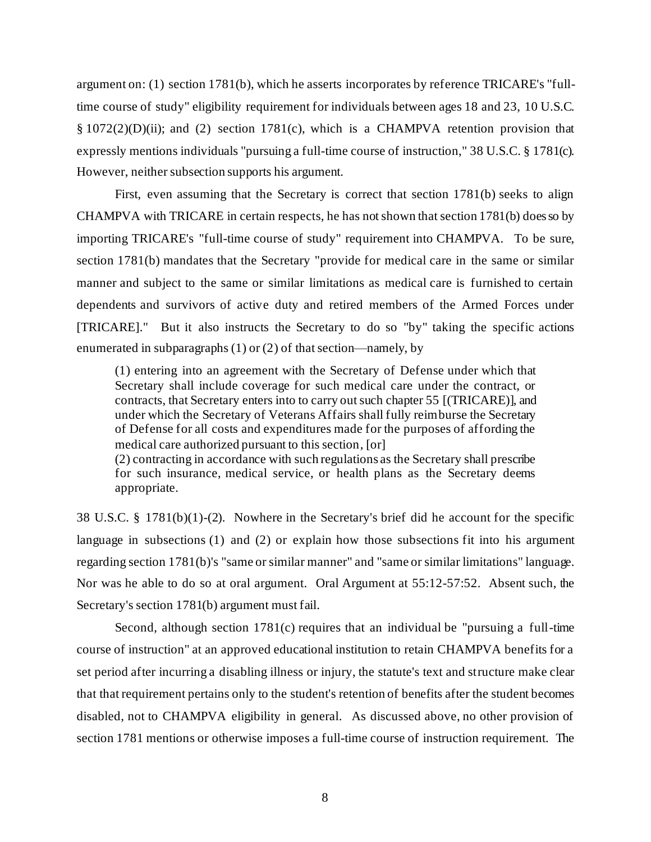argument on: (1) section 1781(b), which he asserts incorporates by reference TRICARE's "fulltime course of study" eligibility requirement for individuals between ages 18 and 23, 10 U.S.C. § 1072(2)(D)(ii); and (2) section 1781(c), which is a CHAMPVA retention provision that expressly mentions individuals "pursuing a full-time course of instruction," 38 U.S.C. § 1781(c). However, neither subsection supports his argument.

First, even assuming that the Secretary is correct that section 1781(b) seeks to align CHAMPVA with TRICARE in certain respects, he has not shown that section 1781(b) does so by importing TRICARE's "full-time course of study" requirement into CHAMPVA. To be sure, section 1781(b) mandates that the Secretary "provide for medical care in the same or similar manner and subject to the same or similar limitations as medical care is furnished to certain dependents and survivors of active duty and retired members of the Armed Forces under [TRICARE]." But it also instructs the Secretary to do so "by" taking the specific actions enumerated in subparagraphs (1) or (2) of that section—namely, by

(1) entering into an agreement with the Secretary of Defense under which that Secretary shall include coverage for such medical care under the contract, or contracts, that Secretary enters into to carry out such chapter 55 [(TRICARE)], and under which the Secretary of Veterans Affairs shall fully reimburse the Secretary of Defense for all costs and expenditures made for the purposes of affording the medical care authorized pursuant to this section, [or]

(2) contracting in accordance with such regulations as the Secretary shall prescribe for such insurance, medical service, or health plans as the Secretary deems appropriate.

38 U.S.C. § 1781(b)(1)-(2). Nowhere in the Secretary's brief did he account for the specific language in subsections (1) and (2) or explain how those subsections fit into his argument regarding section 1781(b)'s "same or similar manner" and "same or similar limitations" language. Nor was he able to do so at oral argument. Oral Argument at 55:12-57:52. Absent such, the Secretary's section 1781(b) argument must fail.

Second, although section 1781(c) requires that an individual be "pursuing a full-time course of instruction" at an approved educational institution to retain CHAMPVA benefits for a set period after incurring a disabling illness or injury, the statute's text and structure make clear that that requirement pertains only to the student's retention of benefits after the student becomes disabled, not to CHAMPVA eligibility in general. As discussed above, no other provision of section 1781 mentions or otherwise imposes a full-time course of instruction requirement. The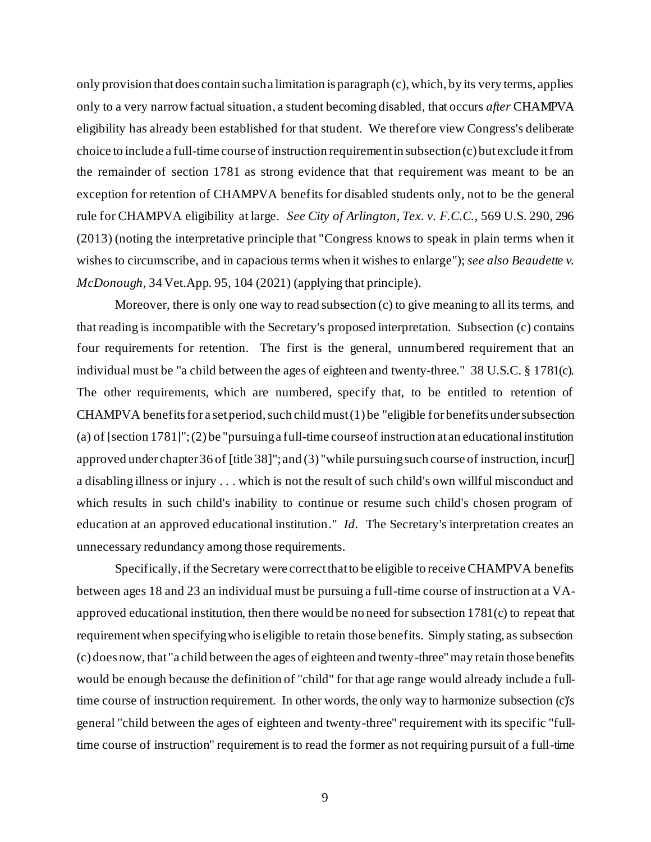only provision that does contain such a limitation is paragraph (c), which, by its very terms, applies only to a very narrow factual situation, a student becoming disabled, that occurs *after* CHAMPVA eligibility has already been established for that student. We therefore view Congress's deliberate choice to include a full-time course of instruction requirement in subsection (c) but exclude it from the remainder of section 1781 as strong evidence that that requirement was meant to be an exception for retention of CHAMPVA benefits for disabled students only, not to be the general rule for CHAMPVA eligibility at large. *See City of Arlington, Tex. v. F.C.C.,* 569 U.S. 290, 296 (2013) (noting the interpretative principle that "Congress knows to speak in plain terms when it wishes to circumscribe, and in capacious terms when it wishes to enlarge"); *see also Beaudette v. McDonough*, 34 Vet.App. 95, 104 (2021) (applying that principle).

Moreover, there is only one way to read subsection (c) to give meaning to all its terms, and that reading is incompatible with the Secretary's proposed interpretation. Subsection (c) contains four requirements for retention. The first is the general, unnumbered requirement that an individual must be "a child between the ages of eighteen and twenty-three." 38 U.S.C. § 1781(c). The other requirements, which are numbered, specify that, to be entitled to retention of CHAMPVA benefits for a set period, such child must (1) be "eligible for benefits under subsection (a) of [section 1781]"; (2) be "pursuing a full-time course of instruction at an educational institution approved under chapter 36 of [title 38]"; and (3) "while pursuing such course of instruction, incur[] a disabling illness or injury . . . which is not the result of such child's own willful misconduct and which results in such child's inability to continue or resume such child's chosen program of education at an approved educational institution." *Id*. The Secretary's interpretation creates an unnecessary redundancy among those requirements.

Specifically, if the Secretary were correct that to be eligible to receive CHAMPVA benefits between ages 18 and 23 an individual must be pursuing a full-time course of instruction at a VAapproved educational institution, then there would be no need for subsection 1781(c) to repeat that requirement when specifying who is eligible to retain those benefits. Simply stating, as subsection (c) does now, that "a child between the ages of eighteen and twenty-three" may retain those benefits would be enough because the definition of "child" for that age range would already include a fulltime course of instruction requirement. In other words, the only way to harmonize subsection (c)'s general "child between the ages of eighteen and twenty-three" requirement with its specific "fulltime course of instruction" requirement is to read the former as not requiring pursuit of a full-time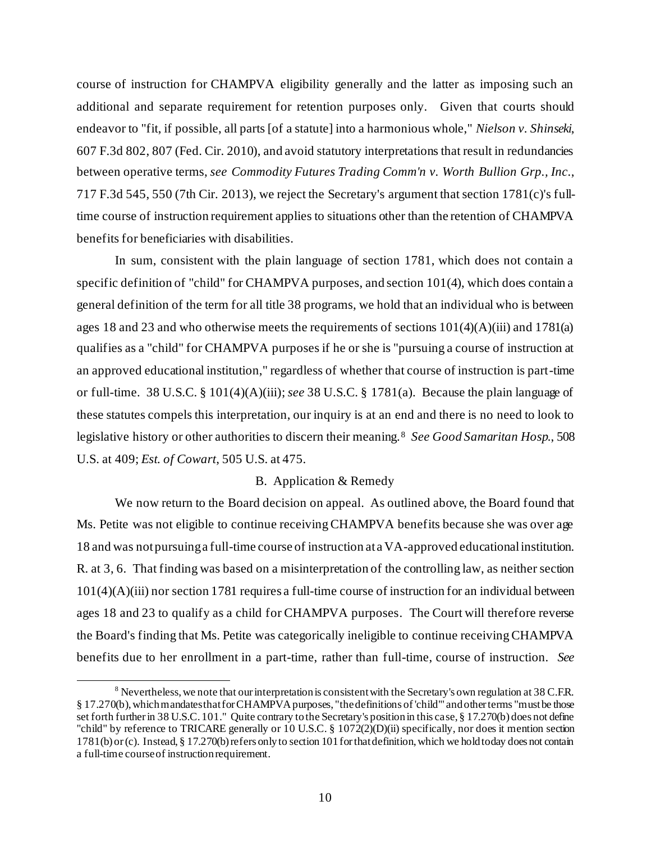course of instruction for CHAMPVA eligibility generally and the latter as imposing such an additional and separate requirement for retention purposes only. Given that courts should endeavor to "fit, if possible, all parts [of a statute] into a harmonious whole," *Nielson v. Shinseki*, 607 F.3d 802, 807 (Fed. Cir. 2010), and avoid statutory interpretations that result in redundancies between operative terms, *see Commodity Futures Trading Comm'n v. Worth Bullion Grp., Inc.*, 717 F.3d 545, 550 (7th Cir. 2013), we reject the Secretary's argument that section 1781(c)'s fulltime course of instruction requirement applies to situations other than the retention of CHAMPVA benefits for beneficiaries with disabilities.

In sum, consistent with the plain language of section 1781, which does not contain a specific definition of "child" for CHAMPVA purposes, and section 101(4), which does contain a general definition of the term for all title 38 programs, we hold that an individual who is between ages 18 and 23 and who otherwise meets the requirements of sections 101(4)(A)(iii) and 1781(a) qualifies as a "child" for CHAMPVA purposes if he or she is "pursuing a course of instruction at an approved educational institution," regardless of whether that course of instruction is part-time or full-time. 38 U.S.C. § 101(4)(A)(iii); *see* 38 U.S.C. § 1781(a). Because the plain language of these statutes compels this interpretation, our inquiry is at an end and there is no need to look to legislative history or other authorities to discern their meaning.<sup>8</sup> See Good Samaritan Hosp., 508 U.S. at 409; *Est. of Cowart*, 505 U.S. at 475.

### B. Application & Remedy

We now return to the Board decision on appeal. As outlined above, the Board found that Ms. Petite was not eligible to continue receiving CHAMPVA benefits because she was over age 18 and was not pursuing a full-time course of instruction at a VA-approved educational institution. R. at 3, 6. That finding was based on a misinterpretation of the controlling law, as neither section 101(4)(A)(iii) nor section 1781 requires a full-time course of instruction for an individual between ages 18 and 23 to qualify as a child for CHAMPVA purposes. The Court will therefore reverse the Board's finding that Ms. Petite was categorically ineligible to continue receiving CHAMPVA benefits due to her enrollment in a part-time, rather than full-time, course of instruction. *See* 

 $8$  Nevertheless, we note that our interpretation is consistent with the Secretary's own regulation at 38 C.F.R. § 17.270(b), which mandates that for CHAMPVA purposes, "the definitions of 'child'" and other terms "must be those set forth further in 38 U.S.C. 101." Quite contrary to the Secretary's position in this case, § 17.270(b) does not define "child" by reference to TRICARE generally or 10 U.S.C. § 1072(2)(D)(ii) specifically, nor does it mention section 1781(b) or (c). Instead, § 17.270(b) refers only to section 101 for that definition, which we hold today does not contain a full-time course of instruction requirement.